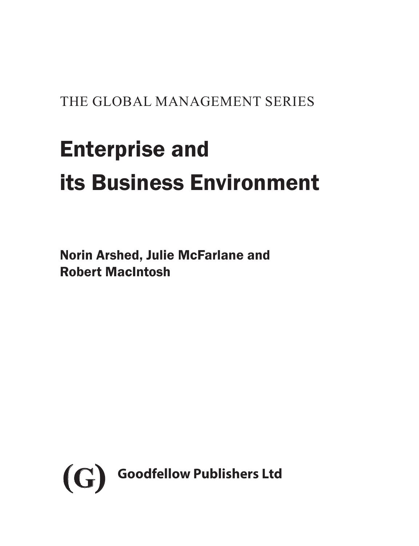# THE GLOBAL MANAGEMENT SERIES

# Enterprise and its Business Environment

Norin Arshed, Julie McFarlane and Robert MacIntosh

<span id="page-0-0"></span>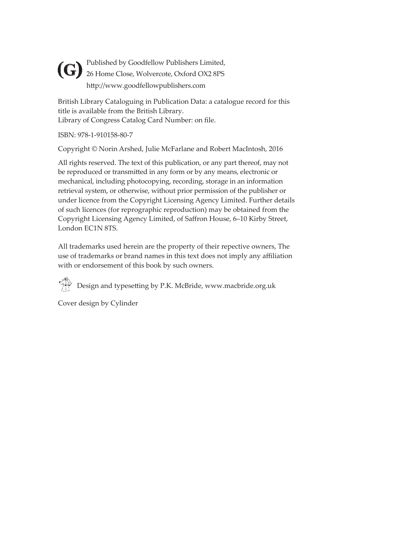Published by Goodfellow Publishers Limited, **(G)** Published by Goodfellow Publishers Limited,<br>26 Home Close, Wolvercote, Oxford OX2 8PS http://www.goodfellowpublishers.com

British Library Cataloguing in Publication Data: a catalogue record for this title is available from the British Library. Library of Congress Catalog Card Number: on file.

ISBN: 978-1-910158-80-7

Copyright © Norin Arshed, Julie McFarlane and Robert MacIntosh, 2016

All rights reserved. The text of this publication, or any part thereof, may not be reproduced or transmitted in any form or by any means, electronic or mechanical, including photocopying, recording, storage in an information retrieval system, or otherwise, without prior permission of the publisher or under licence from the Copyright Licensing Agency Limited. Further details of such licences (for reprographic reproduction) may be obtained from the Copyright Licensing Agency Limited, of Saffron House, 6–10 Kirby Street, London EC1N 8TS.

All trademarks used herein are the property of their repective owners, The use of trademarks or brand names in this text does not imply any affiliation with or endorsement of this book by such owners.

 $\bigoplus_{n=1}^{\infty}$  Design and typesetting by P.K. McBride, www.macbride.org.uk

Cover design by Cylinder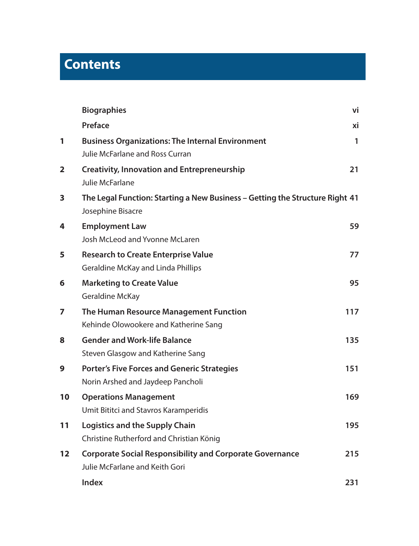# **Contents**

|                   | <b>Biographies</b>                                                                                | vi  |
|-------------------|---------------------------------------------------------------------------------------------------|-----|
|                   | Preface                                                                                           | xi  |
| 1                 | <b>Business Organizations: The Internal Environment</b><br><b>Julie McFarlane and Ross Curran</b> | 1   |
| 2                 | <b>Creativity, Innovation and Entrepreneurship</b><br>Julie McFarlane                             | 21  |
| 3                 | The Legal Function: Starting a New Business - Getting the Structure Right 41<br>Josephine Bisacre |     |
| 4                 | <b>Employment Law</b><br>Josh McLeod and Yvonne McLaren                                           | 59  |
| 5                 | <b>Research to Create Enterprise Value</b><br>Geraldine McKay and Linda Phillips                  | 77  |
| 6                 | <b>Marketing to Create Value</b><br>Geraldine McKay                                               | 95  |
| 7                 | The Human Resource Management Function<br>Kehinde Olowookere and Katherine Sang                   | 117 |
| 8                 | <b>Gender and Work-life Balance</b><br>Steven Glasgow and Katherine Sang                          | 135 |
| 9                 | <b>Porter's Five Forces and Generic Strategies</b><br>Norin Arshed and Jaydeep Pancholi           | 151 |
| 10                | <b>Operations Management</b><br>Umit Bititci and Stavros Karamperidis                             | 169 |
| 11                | Logistics and the Supply Chain<br>Christine Rutherford and Christian König                        | 195 |
| $12 \overline{ }$ | <b>Corporate Social Responsibility and Corporate Governance</b><br>Julie McFarlane and Keith Gori | 215 |
|                   | Index                                                                                             | 231 |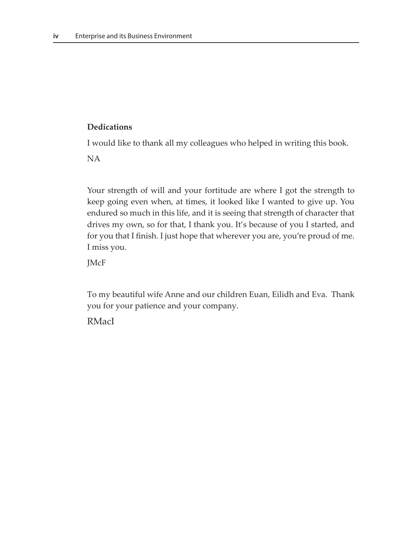#### **Dedications**

I would like to thank all my colleagues who helped in writing this book.

NA

Your strength of will and your fortitude are where I got the strength to keep going even when, at times, it looked like I wanted to give up. You endured so much in this life, and it is seeing that strength of character that drives my own, so for that, I thank you. It's because of you I started, and for you that I finish. I just hope that wherever you are, you're proud of me. I miss you.

JMcF

To my beautiful wife Anne and our children Euan, Eilidh and Eva. Thank you for your patience and your company.

RMacI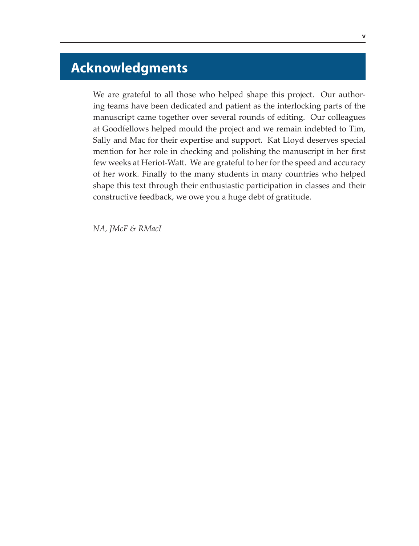# **Acknowledgments**

We are grateful to all those who helped shape this project. Our authoring teams have been dedicated and patient as the interlocking parts of the manuscript came together over several rounds of editing. Our colleagues at Goodfellows helped mould the project and we remain indebted to Tim, Sally and Mac for their expertise and support. Kat Lloyd deserves special mention for her role in checking and polishing the manuscript in her first few weeks at Heriot-Watt. We are grateful to her for the speed and accuracy of her work. Finally to the many students in many countries who helped shape this text through their enthusiastic participation in classes and their constructive feedback, we owe you a huge debt of gratitude.

*NA, JMcF & RMacI*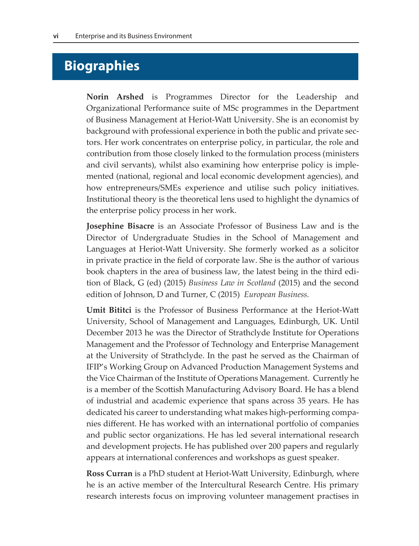## **Biographies**

**Norin Arshed** is Programmes Director for the Leadership and Organizational Performance suite of MSc programmes in the Department of Business Management at Heriot-Watt University. She is an economist by background with professional experience in both the public and private sectors. Her work concentrates on enterprise policy, in particular, the role and contribution from those closely linked to the formulation process (ministers and civil servants), whilst also examining how enterprise policy is implemented (national, regional and local economic development agencies), and how entrepreneurs/SMEs experience and utilise such policy initiatives. Institutional theory is the theoretical lens used to highlight the dynamics of the enterprise policy process in her work.

**Josephine Bisacre** is an Associate Professor of Business Law and is the Director of Undergraduate Studies in the School of Management and Languages at Heriot-Watt University. She formerly worked as a solicitor in private practice in the field of corporate law. She is the author of various book chapters in the area of business law, the latest being in the third edition of Black, G (ed) (2015) *Business Law in Scotland* (2015) and the second edition of Johnson, D and Turner, C (2015) *European Business.* 

**Umit Bititci** is the Professor of Business Performance at the Heriot-Watt University, School of Management and Languages, Edinburgh, UK. Until December 2013 he was the Director of Strathclyde Institute for Operations Management and the Professor of Technology and Enterprise Management at the University of Strathclyde. In the past he served as the Chairman of IFIP's Working Group on Advanced Production Management Systems and the Vice Chairman of the Institute of Operations Management. Currently he is a member of the Scottish Manufacturing Advisory Board. He has a blend of industrial and academic experience that spans across 35 years. He has dedicated his career to understanding what makes high-performing companies different. He has worked with an international portfolio of companies and public sector organizations. He has led several international research and development projects. He has published over 200 papers and regularly appears at international conferences and workshops as guest speaker.

**Ross Curran** is a PhD student at Heriot-Watt University, Edinburgh, where he is an active member of the Intercultural Research Centre. His primary research interests focus on improving volunteer management practises in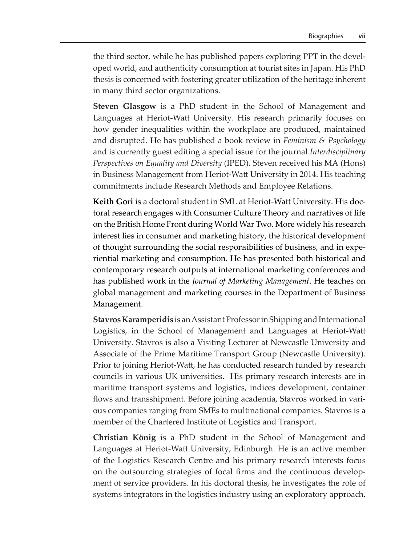the third sector, while he has published papers exploring PPT in the developed world, and authenticity consumption at tourist sites in Japan. His PhD thesis is concerned with fostering greater utilization of the heritage inherent in many third sector organizations.

**Steven Glasgow** is a PhD student in the School of Management and Languages at Heriot-Watt University. His research primarily focuses on how gender inequalities within the workplace are produced, maintained and disrupted. He has published a book review in *Feminism & Psychology* and is currently guest editing a special issue for the journal *Interdisciplinary Perspectives on Equality and Diversity* (IPED). Steven received his MA (Hons) in Business Management from Heriot-Watt University in 2014. His teaching commitments include Research Methods and Employee Relations.

**Keith Gori** is a doctoral student in SML at Heriot-Watt University. His doctoral research engages with Consumer Culture Theory and narratives of life on the British Home Front during World War Two. More widely his research interest lies in consumer and marketing history, the historical development of thought surrounding the social responsibilities of business, and in experiential marketing and consumption. He has presented both historical and contemporary research outputs at international marketing conferences and has published work in the *Journal of Marketing Management*. He teaches on global management and marketing courses in the Department of Business Management.

**Stavros Karamperidis** is an Assistant Professor in Shipping and International Logistics, in the School of Management and Languages at Heriot-Watt University. Stavros is also a Visiting Lecturer at Newcastle University and Associate of the Prime Maritime Transport Group (Newcastle University). Prior to joining Heriot-Watt, he has conducted research funded by research councils in various UK universities. His primary research interests are in maritime transport systems and logistics, indices development, container flows and transshipment. Before joining academia, Stavros worked in various companies ranging from SMEs to multinational companies. Stavros is a member of the Chartered Institute of Logistics and Transport.

**Christian König** is a PhD student in the School of Management and Languages at Heriot-Watt University, Edinburgh. He is an active member of the Logistics Research Centre and his primary research interests focus on the outsourcing strategies of focal firms and the continuous development of service providers. In his doctoral thesis, he investigates the role of systems integrators in the logistics industry using an exploratory approach.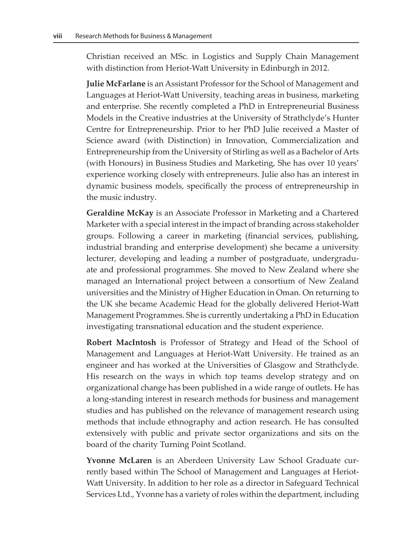Christian received an MSc. in Logistics and Supply Chain Management with distinction from Heriot-Watt University in Edinburgh in 2012.

**Julie McFarlane** is an Assistant Professor for the School of Management and Languages at Heriot-Watt University, teaching areas in business, marketing and enterprise. She recently completed a PhD in Entrepreneurial Business Models in the Creative industries at the University of Strathclyde's Hunter Centre for Entrepreneurship. Prior to her PhD Julie received a Master of Science award (with Distinction) in Innovation, Commercialization and Entrepreneurship from the University of Stirling as well as a Bachelor of Arts (with Honours) in Business Studies and Marketing, She has over 10 years' experience working closely with entrepreneurs. Julie also has an interest in dynamic business models, specifically the process of entrepreneurship in the music industry.

**Geraldine McKay** is an Associate Professor in Marketing and a Chartered Marketer with a special interest in the impact of branding across stakeholder groups. Following a career in marketing (financial services, publishing, industrial branding and enterprise development) she became a university lecturer, developing and leading a number of postgraduate, undergraduate and professional programmes. She moved to New Zealand where she managed an International project between a consortium of New Zealand universities and the Ministry of Higher Education in Oman. On returning to the UK she became Academic Head for the globally delivered Heriot-Watt Management Programmes. She is currently undertaking a PhD in Education investigating transnational education and the student experience.

**Robert MacIntosh** is Professor of Strategy and Head of the School of Management and Languages at Heriot-Watt University. He trained as an engineer and has worked at the Universities of Glasgow and Strathclyde. His research on the ways in which top teams develop strategy and on organizational change has been published in a wide range of outlets. He has a long-standing interest in research methods for business and management studies and has published on the relevance of management research using methods that include ethnography and action research. He has consulted extensively with public and private sector organizations and sits on the board of the charity Turning Point Scotland.

**Yvonne McLaren** is an Aberdeen University Law School Graduate currently based within The School of Management and Languages at Heriot-Watt University. In addition to her role as a director in Safeguard Technical Services Ltd., Yvonne has a variety of roles within the department, including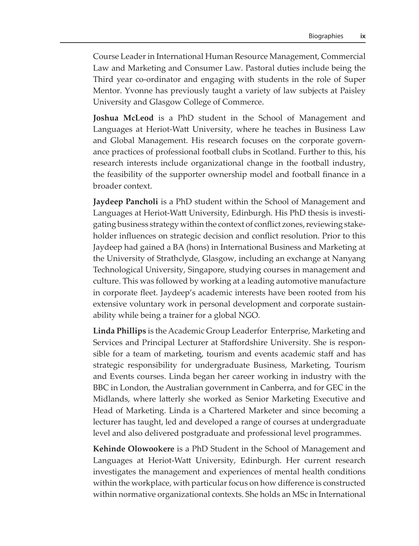Course Leader in International Human Resource Management, Commercial Law and Marketing and Consumer Law. Pastoral duties include being the Third year co-ordinator and engaging with students in the role of Super Mentor. Yvonne has previously taught a variety of law subjects at Paisley University and Glasgow College of Commerce.

**Joshua McLeod** is a PhD student in the School of Management and Languages at Heriot-Watt University, where he teaches in Business Law and Global Management. His research focuses on the corporate governance practices of professional football clubs in Scotland. Further to this, his research interests include organizational change in the football industry, the feasibility of the supporter ownership model and football finance in a broader context.

**Jaydeep Pancholi** is a PhD student within the School of Management and Languages at Heriot-Watt University, Edinburgh. His PhD thesis is investigating business strategy within the context of conflict zones, reviewing stakeholder influences on strategic decision and conflict resolution. Prior to this Jaydeep had gained a BA (hons) in International Business and Marketing at the University of Strathclyde, Glasgow, including an exchange at Nanyang Technological University, Singapore, studying courses in management and culture. This was followed by working at a leading automotive manufacture in corporate fleet. Jaydeep's academic interests have been rooted from his extensive voluntary work in personal development and corporate sustainability while being a trainer for a global NGO.

**Linda Phillips** is the Academic Group Leaderfor Enterprise, Marketing and Services and Principal Lecturer at Staffordshire University. She is responsible for a team of marketing, tourism and events academic staff and has strategic responsibility for undergraduate Business, Marketing, Tourism and Events courses. Linda began her career working in industry with the BBC in London, the Australian government in Canberra, and for GEC in the Midlands, where latterly she worked as Senior Marketing Executive and Head of Marketing. Linda is a Chartered Marketer and since becoming a lecturer has taught, led and developed a range of courses at undergraduate level and also delivered postgraduate and professional level programmes.

**Kehinde Olowookere** is a PhD Student in the School of Management and Languages at Heriot-Watt University, Edinburgh. Her current research investigates the management and experiences of mental health conditions within the workplace, with particular focus on how difference is constructed within normative organizational contexts. She holds an MSc in International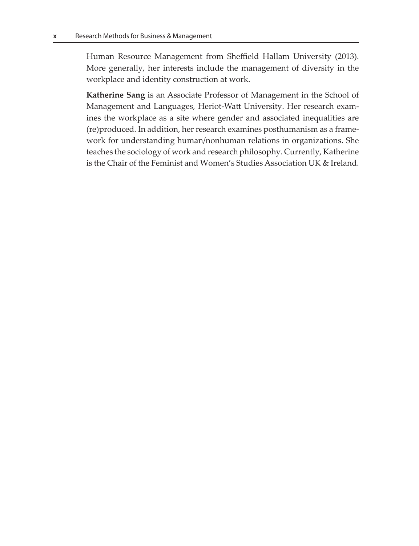Human Resource Management from Sheffield Hallam University (2013). More generally, her interests include the management of diversity in the workplace and identity construction at work.

**Katherine Sang** is an Associate Professor of Management in the School of Management and Languages, Heriot-Watt University. Her research examines the workplace as a site where gender and associated inequalities are (re)produced. In addition, her research examines posthumanism as a framework for understanding human/nonhuman relations in organizations. She teaches the sociology of work and research philosophy. Currently, Katherine is the Chair of the Feminist and Women's Studies Association UK & Ireland.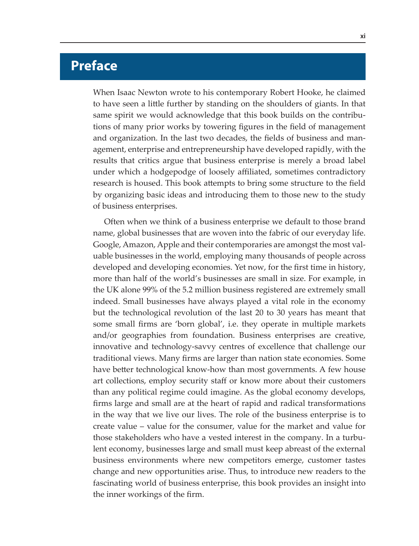## **Preface**

When Isaac Newton wrote to his contemporary Robert Hooke, he claimed to have seen a little further by standing on the shoulders of giants. In that same spirit we would acknowledge that this book builds on the contributions of many prior works by towering figures in the field of management and organization. In the last two decades, the fields of business and management, enterprise and entrepreneurship have developed rapidly, with the results that critics argue that business enterprise is merely a broad label under which a hodgepodge of loosely affiliated, sometimes contradictory research is housed. This book attempts to bring some structure to the field by organizing basic ideas and introducing them to those new to the study of business enterprises.

Often when we think of a business enterprise we default to those brand name, global businesses that are woven into the fabric of our everyday life. Google, Amazon, Apple and their contemporaries are amongst the most valuable businesses in the world, employing many thousands of people across developed and developing economies. Yet now, for the first time in history, more than half of the world's businesses are small in size. For example, in the UK alone 99% of the 5.2 million business registered are extremely small indeed. Small businesses have always played a vital role in the economy but the technological revolution of the last 20 to 30 years has meant that some small firms are 'born global', i.e. they operate in multiple markets and/or geographies from foundation. Business enterprises are creative, innovative and technology-savvy centres of excellence that challenge our traditional views. Many firms are larger than nation state economies. Some have better technological know-how than most governments. A few house art collections, employ security staff or know more about their customers than any political regime could imagine. As the global economy develops, firms large and small are at the heart of rapid and radical transformations in the way that we live our lives. The role of the business enterprise is to create value – value for the consumer, value for the market and value for those stakeholders who have a vested interest in the company. In a turbulent economy, businesses large and small must keep abreast of the external business environments where new competitors emerge, customer tastes change and new opportunities arise. Thus, to introduce new readers to the fascinating world of business enterprise, this book provides an insight into the inner workings of the firm.